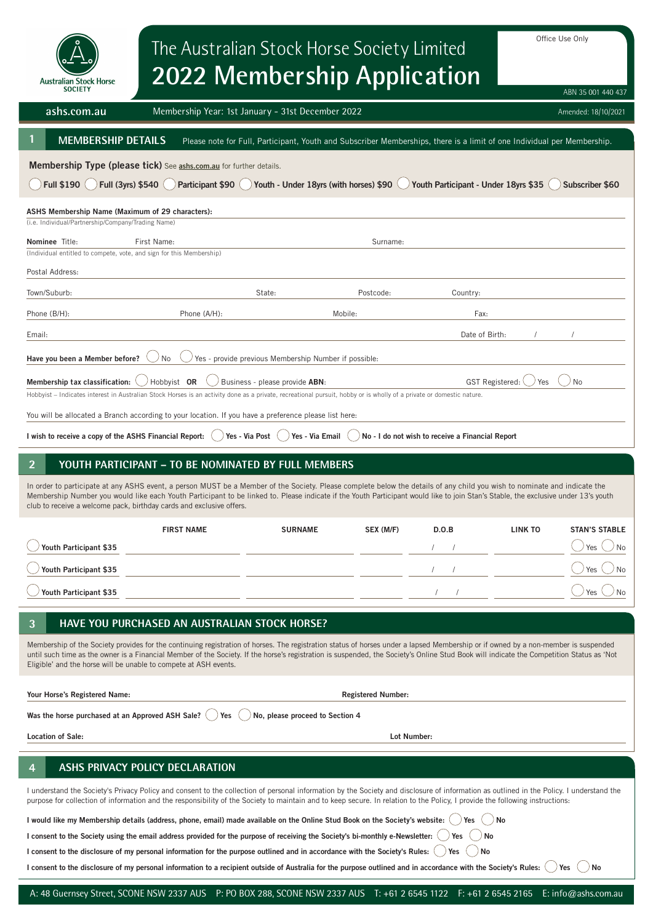| <b>Australian Stock Horse</b><br><b>SOCIETY</b>                                                                                                                                                                                                                                                                                                                                                                                                                                                     | Office Use Only<br>The Australian Stock Horse Society Limited<br><b>2022 Membership Application</b><br>ABN 35 001 440 437 |                                                       |                           |                                                  |                |                      |  |
|-----------------------------------------------------------------------------------------------------------------------------------------------------------------------------------------------------------------------------------------------------------------------------------------------------------------------------------------------------------------------------------------------------------------------------------------------------------------------------------------------------|---------------------------------------------------------------------------------------------------------------------------|-------------------------------------------------------|---------------------------|--------------------------------------------------|----------------|----------------------|--|
| ashs.com.au                                                                                                                                                                                                                                                                                                                                                                                                                                                                                         | Membership Year: 1st January - 31st December 2022<br>Amended: 18/10/2021                                                  |                                                       |                           |                                                  |                |                      |  |
| <b>MEMBERSHIP DETAILS</b><br>Please note for Full, Participant, Youth and Subscriber Memberships, there is a limit of one Individual per Membership.                                                                                                                                                                                                                                                                                                                                                |                                                                                                                           |                                                       |                           |                                                  |                |                      |  |
| Membership Type (please tick) See ashs.com.au for further details.<br>Full (3yrs) \$540<br>Youth - Under 18yrs (with horses) \$90<br>Youth Participant - Under 18yrs \$35<br><b>Full \$190</b><br>Participant \$90<br>Subscriber \$60                                                                                                                                                                                                                                                               |                                                                                                                           |                                                       |                           |                                                  |                |                      |  |
| ASHS Membership Name (Maximum of 29 characters):<br>(i.e. Individual/Partnership/Company/Trading Name)                                                                                                                                                                                                                                                                                                                                                                                              |                                                                                                                           |                                                       |                           |                                                  |                |                      |  |
| <b>Nominee</b> Title:<br>(Individual entitled to compete, vote, and sign for this Membership)                                                                                                                                                                                                                                                                                                                                                                                                       | First Name:                                                                                                               |                                                       | Surname:                  |                                                  |                |                      |  |
| Postal Address:                                                                                                                                                                                                                                                                                                                                                                                                                                                                                     |                                                                                                                           |                                                       |                           |                                                  |                |                      |  |
| Town/Suburb:                                                                                                                                                                                                                                                                                                                                                                                                                                                                                        |                                                                                                                           | State:                                                | Postcode:                 | Country:                                         |                |                      |  |
| Phone (B/H):                                                                                                                                                                                                                                                                                                                                                                                                                                                                                        | Phone (A/H):                                                                                                              |                                                       | Mobile:                   | Fax:                                             |                |                      |  |
| Email:                                                                                                                                                                                                                                                                                                                                                                                                                                                                                              |                                                                                                                           |                                                       |                           | Date of Birth:                                   |                |                      |  |
| Have you been a Member before?                                                                                                                                                                                                                                                                                                                                                                                                                                                                      | No                                                                                                                        | Yes - provide previous Membership Number if possible: |                           |                                                  |                |                      |  |
| Hobbyist OR<br>GST Registered:<br>No<br>Membership tax classification:<br>Business - please provide ABN:<br>Yes<br>Hobbyist - Indicates interest in Australian Stock Horses is an activity done as a private, recreational pursuit, hobby or is wholly of a private or domestic nature.<br>You will be allocated a Branch according to your location. If you have a preference please list here:                                                                                                    |                                                                                                                           |                                                       |                           |                                                  |                |                      |  |
| I wish to receive a copy of the ASHS Financial Report:                                                                                                                                                                                                                                                                                                                                                                                                                                              |                                                                                                                           | Yes - Via Post<br>Yes - Via Email                     |                           | No - I do not wish to receive a Financial Report |                |                      |  |
|                                                                                                                                                                                                                                                                                                                                                                                                                                                                                                     |                                                                                                                           |                                                       |                           |                                                  |                |                      |  |
| YOUTH PARTICIPANT - TO BE NOMINATED BY FULL MEMBERS<br>In order to participate at any ASHS event, a person MUST be a Member of the Society. Please complete below the details of any child you wish to nominate and indicate the<br>Membership Number you would like each Youth Participant to be linked to. Please indicate if the Youth Participant would like to join Stan's Stable, the exclusive under 13's youth<br>club to receive a welcome pack, birthday cards and exclusive offers.      |                                                                                                                           |                                                       |                           |                                                  |                |                      |  |
|                                                                                                                                                                                                                                                                                                                                                                                                                                                                                                     | <b>FIRST NAME</b>                                                                                                         | <b>SURNAME</b>                                        | SEX (M/F)                 | D.O.B                                            | <b>LINK TO</b> | <b>STAN'S STABLE</b> |  |
| Youth Participant \$35                                                                                                                                                                                                                                                                                                                                                                                                                                                                              |                                                                                                                           |                                                       |                           |                                                  |                | Yes<br>No            |  |
| Youth Participant \$35                                                                                                                                                                                                                                                                                                                                                                                                                                                                              |                                                                                                                           |                                                       |                           | $\sqrt{2}$                                       |                | Yes<br>No            |  |
| Youth Participant \$35                                                                                                                                                                                                                                                                                                                                                                                                                                                                              |                                                                                                                           |                                                       |                           |                                                  |                | Yes                  |  |
| 3                                                                                                                                                                                                                                                                                                                                                                                                                                                                                                   |                                                                                                                           |                                                       |                           |                                                  |                |                      |  |
| HAVE YOU PURCHASED AN AUSTRALIAN STOCK HORSE?<br>Membership of the Society provides for the continuing registration of horses. The registration status of horses under a lapsed Membership or if owned by a non-member is suspended<br>until such time as the owner is a Financial Member of the Society. If the horse's registration is suspended, the Society's Online Stud Book will indicate the Competition Status as 'Not<br>Eligible' and the horse will be unable to compete at ASH events. |                                                                                                                           |                                                       |                           |                                                  |                |                      |  |
| Your Horse's Registered Name:                                                                                                                                                                                                                                                                                                                                                                                                                                                                       |                                                                                                                           |                                                       | <b>Registered Number:</b> |                                                  |                |                      |  |
| Was the horse purchased at an Approved ASH Sale?<br>No, please proceed to Section 4<br>Yes                                                                                                                                                                                                                                                                                                                                                                                                          |                                                                                                                           |                                                       |                           |                                                  |                |                      |  |
| <b>Location of Sale:</b>                                                                                                                                                                                                                                                                                                                                                                                                                                                                            |                                                                                                                           |                                                       | Lot Number:               |                                                  |                |                      |  |
|                                                                                                                                                                                                                                                                                                                                                                                                                                                                                                     |                                                                                                                           |                                                       |                           |                                                  |                |                      |  |
| ASHS PRIVACY POLICY DECLARATION<br>4<br>I understand the Society's Privacy Policy and consent to the collection of personal information by the Society and disclosure of information as outlined in the Policy. I understand the<br>purpose for collection of information and the responsibility of the Society to maintain and to keep secure. In relation to the Policy, I provide the following instructions:                                                                                    |                                                                                                                           |                                                       |                           |                                                  |                |                      |  |
| I would like my Membership details (address, phone, email) made available on the Online Stud Book on the Society's website:                                                                                                                                                                                                                                                                                                                                                                         |                                                                                                                           |                                                       |                           | Yes                                              | No             |                      |  |
| I consent to the Society using the email address provided for the purpose of receiving the Society's bi-monthly e-Newsletter:                                                                                                                                                                                                                                                                                                                                                                       |                                                                                                                           |                                                       |                           | No<br>Yes                                        |                |                      |  |
| I consent to the disclosure of my personal information for the purpose outlined and in accordance with the Society's Rules:<br>No<br>Yes<br>I consent to the disclosure of my personal information to a recipient outside of Australia for the purpose outlined and in accordance with the Society's Rules:<br>No<br>Yes                                                                                                                                                                            |                                                                                                                           |                                                       |                           |                                                  |                |                      |  |

I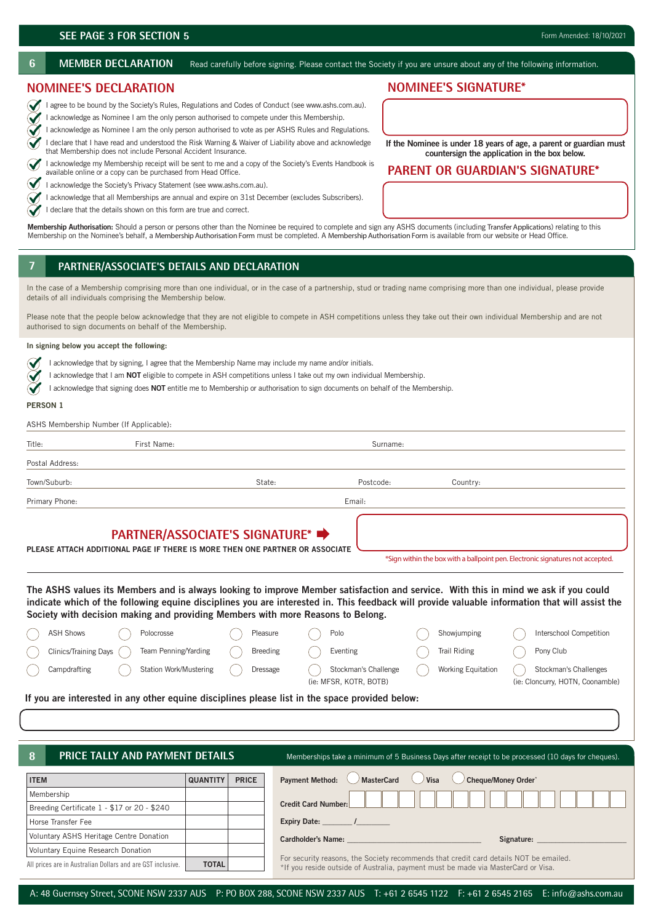∾  $\blacklozenge$ 

 $\bm{\mathcal{U}}$  $\checkmark$ 

**6** MEMBER DECLARATION Read carefully before signing. Please contact the Society if you are unsure about any of the following information.

# **NOMINEE'S DECLARATION**

1 agree to be bound by the Society's Rules, Regulations and Codes of Conduct (see www.ashs.com.au).

I acknowledge as Nominee I am the only person authorised to compete under this Membership.

 I acknowledge as Nominee I am the only person authorised to vote as per ASHS Rules and Regulations. I declare that I have read and understood the Risk Warning & Waiver of Liability above and acknowledge that Membership does not include Personal Accident Insurance.

 I acknowledge my Membership receipt will be sent to me and a copy of the Society's Events Handbook is available online or a copy can be purchased from Head Office.

 $\bigvee$  I acknowledge the Society's Privacy Statement (see www.ashs.com.au).

I acknowledge that all Memberships are annual and expire on 31st December (excludes Subscribers).

I declare that the details shown on this form are true and correct.

**Membership Authorisation:** Should a person or persons other than the Nominee be required to complete and sign any ASHS documents (including Transfer Applications) relating to this Membership on the Nominee's behalf, a Membership Authorisation Form must be completed. A Membership Authorisation Form is available from our website or Head Office.

# **7 1. PARTNER/ASSOCIATE'S DETAILS AND DECLARATION**

In the case of a Membership comprising more than one individual, or in the case of a partnership, stud or trading name comprising more than one individual, please provide details of all individuals comprising the Membership below.

Please note that the people below acknowledge that they are not eligible to compete in ASH competitions unless they take out their own individual Membership and are not authorised to sign documents on behalf of the Membership.

### **In signing below you accept the following:**

- $\ddot{\mathbf{v}}$ I acknowledge that by signing, I agree that the Membership Name may include my name and/or initials.
- I acknowledge that I am **NOT** eligible to compete in ASH competitions unless I take out my own individual Membership.
- I acknowledge that signing does **NOT** entitle me to Membership or authorisation to sign documents on behalf of the Membership.  $\checkmark$

### **PERSON 1**

ASHS Membership Number (If Applicable):

| Title:          | First Name: |        | Surname:  |          |  |  |
|-----------------|-------------|--------|-----------|----------|--|--|
| Postal Address: |             |        |           |          |  |  |
| Town/Suburb:    |             | State: | Postcode: | Country: |  |  |
| Primary Phone:  |             |        | Email:    |          |  |  |

# **PARTNER/ASSOCIATE'S SIGNATURE\***

**PLEASE ATTACH ADDITIONAL PAGE IF THERE IS MORE THEN ONE PARTNER OR ASSOCIATE**

\*Sign within the box with a ballpoint pen. Electronic signatures not accepted.

**The ASHS values its Members and is always looking to improve Member satisfaction and service. With this in mind we ask if you could indicate which of the following equine disciplines you are interested in. This feedback will provide valuable information that will assist the Society with decision making and providing Members with more Reasons to Belong.**

|                                                                                                | <b>ASH Shows</b>        |  | Polocrosse                    |  | Pleasure        |  | Polo                   | Showjumping               | Interschool Competition          |
|------------------------------------------------------------------------------------------------|-------------------------|--|-------------------------------|--|-----------------|--|------------------------|---------------------------|----------------------------------|
|                                                                                                | Clinics/Training Days ( |  | Team Penning/Yarding          |  | <b>Breeding</b> |  | Eventing               | Trail Riding              | Pony Club                        |
|                                                                                                | Campdrafting            |  | <b>Station Work/Mustering</b> |  | Dressage        |  | Stockman's Challenge   | <b>Working Equitation</b> | Stockman's Challenges            |
|                                                                                                |                         |  |                               |  |                 |  | (ie: MFSR, KOTR, BOTB) |                           | (ie: Cloncurry, HOTN, Coonamble) |
| If you are interested in ony ether equine disciplines places list in the cross previded halow. |                         |  |                               |  |                 |  |                        |                           |                                  |

**If you are interested in any other equine disciplines please list in the space provided below:**

## **8**

**PRICE TALLY AND PAYMENT DETAILS** Memberships take a minimum of 5 Business Days after receipt to be processed (10 days for cheques).

| <b>ITEM</b>                                                 | <b>QUANTITY</b> | <b>PRICE</b> | Cheque/Money Order*<br><b>Payment Method:</b><br>MasterCard<br>( <i>)</i> Visa                                                                                             |  |  |  |  |  |
|-------------------------------------------------------------|-----------------|--------------|----------------------------------------------------------------------------------------------------------------------------------------------------------------------------|--|--|--|--|--|
| Membership                                                  |                 |              |                                                                                                                                                                            |  |  |  |  |  |
| Breeding Certificate 1 - \$17 or 20 - \$240                 |                 |              | <b>Credit Card Number:</b>                                                                                                                                                 |  |  |  |  |  |
| Horse Transfer Fee                                          |                 |              | <b>Expiry Date:</b>                                                                                                                                                        |  |  |  |  |  |
| Voluntary ASHS Heritage Centre Donation                     |                 |              | <b>Cardholder's Name:</b><br>Signature:                                                                                                                                    |  |  |  |  |  |
| Voluntary Equine Research Donation                          |                 |              |                                                                                                                                                                            |  |  |  |  |  |
| All prices are in Australian Dollars and are GST inclusive. | <b>TOTAL</b>    |              | For security reasons, the Society recommends that credit card details NOT be emailed.<br>*If you reside outside of Australia, payment must be made via MasterCard or Visa. |  |  |  |  |  |

# **NOMINEE'S SIGNATURE\***

**If the Nominee is under 18 years of age, a parent or guardian must countersign the application in the box below.**

# **PARENT OR GUARDIAN'S SIGNATURE\***